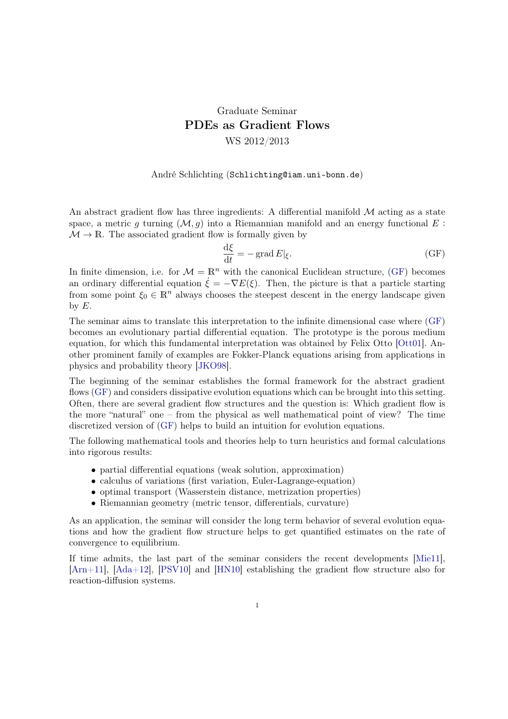## Graduate Seminar PDEs as Gradient Flows WS 2012/2013

## André Schlichting (Schlichting@iam.uni-bonn.de)

An abstract gradient flow has three ingredients: A differential manifold  $\mathcal M$  acting as a state space, a metric g turning  $(M, g)$  into a Riemannian manifold and an energy functional E:  $\mathcal{M} \to \mathbb{R}$ . The associated gradient flow is formally given by

<span id="page-0-0"></span>
$$
\frac{\mathrm{d}\xi}{\mathrm{d}t} = -\operatorname{grad} E|_{\xi}.\tag{GF}
$$

In finite dimension, i.e. for  $\mathcal{M} = \mathbb{R}^n$  with the canonical Euclidean structure, [\(GF\)](#page-0-0) becomes an ordinary differential equation  $\dot{\xi} = -\nabla E(\xi)$ . Then, the picture is that a particle starting from some point  $\xi_0 \in \mathbb{R}^n$  always chooses the steepest descent in the energy landscape given by  $E$ .

The seminar aims to translate this interpretation to the infinite dimensional case where [\(GF\)](#page-0-0) becomes an evolutionary partial differential equation. The prototype is the porous medium equation, for which this fundamental interpretation was obtained by Felix Otto [\[Ott01\]](#page-1-0). Another prominent family of examples are Fokker-Planck equations arising from applications in physics and probability theory [\[JKO98\]](#page-1-1).

The beginning of the seminar establishes the formal framework for the abstract gradient flows [\(GF\)](#page-0-0) and considers dissipative evolution equations which can be brought into this setting. Often, there are several gradient flow structures and the question is: Which gradient flow is the more "natural" one – from the physical as well mathematical point of view? The time discretized version of [\(GF\)](#page-0-0) helps to build an intuition for evolution equations.

The following mathematical tools and theories help to turn heuristics and formal calculations into rigorous results:

- partial differential equations (weak solution, approximation)
- calculus of variations (first variation, Euler-Lagrange-equation)
- optimal transport (Wasserstein distance, metrization properties)
- Riemannian geometry (metric tensor, differentials, curvature)

As an application, the seminar will consider the long term behavior of several evolution equations and how the gradient flow structure helps to get quantified estimates on the rate of convergence to equilibrium.

If time admits, the last part of the seminar considers the recent developments [\[Mie11\]](#page-1-2), [\[Arn+11\]](#page-1-3), [\[Ada+12\]](#page-1-4), [\[PSV10\]](#page-1-5) and [\[HN10\]](#page-1-6) establishing the gradient flow structure also for reaction-diffusion systems.